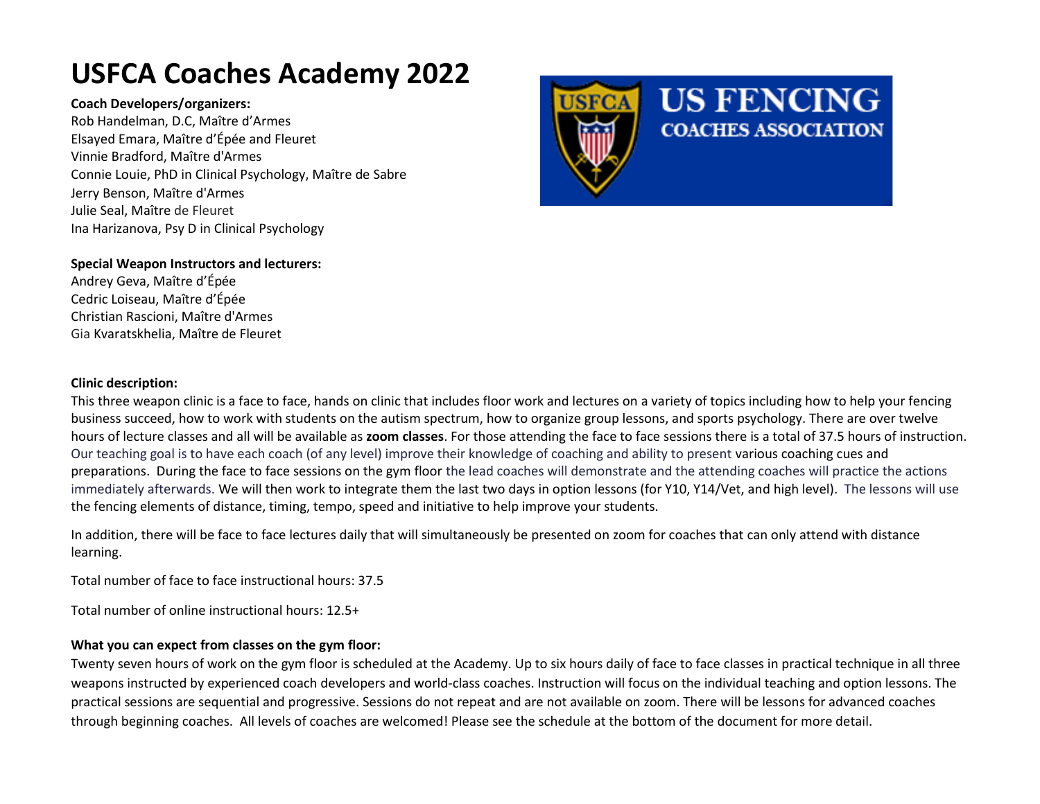# **USFCA Coaches Academy 2022**

#### **Coach Developers/organizers:**

Rob Handelman, D.C, Maître d'Armes Elsayed Emara, Maître d'Épée and Fleuret Vinnie Bradford, Maître d'Armes Connie Louie, PhD in Clinical Psychology, Maître de Sabre Jerry Benson, Maître d'Armes Julie Seal, Maître de Fleuret Ina Harizanova, Psy D in Clinical Psychology



#### **Special Weapon Instructors and lecturers:**

Andrey Geva, Maître d'Épée [Cedric Loiseau,](https://und.com/coach/cedric-loiseau-2/) Maître d'Épée [Christian Rascioni,](https://und.com/coach/christian-rascioni/) Maître d'Armes Gia Kvaratskhelia, Maître de Fleuret

#### **Clinic description:**

This three weapon clinic is a face to face, hands on clinic that includes floor work and lectures on a variety of topics including how to help your fencing business succeed, how to work with students on the autism spectrum, how to organize group lessons, and sports psychology. There are over twelve hours of lecture classes and all will be available as **zoom classes**. For those attending the face to face sessions there is a total of 37.5 hours of instruction. Our teaching goal is to have each coach (of any level) improve their knowledge of coaching and ability to present various coaching cues and preparations. During the face to face sessions on the gym floor the lead coaches will demonstrate and the attending coaches will practice the actions immediately afterwards. We will then work to integrate them the last two days in option lessons (for Y10, Y14/Vet, and high level). The lessons will use the fencing elements of distance, timing, tempo, speed and initiative to help improve your students.

In addition, there will be face to face lectures daily that will simultaneously be presented on zoom for coaches that can only attend with distance learning.

Total number of face to face instructional hours: 37.5

Total number of online instructional hours: 12.5+

#### **What you can expect from classes on the gym floor:**

Twenty seven hours of work on the gym floor is scheduled at the Academy. Up to six hours daily of face to face classes in practical technique in all three weapons instructed by experienced coach developers and world-class coaches. Instruction will focus on the individual teaching and option lessons. The practical sessions are sequential and progressive. Sessions do not repeat and are not available on zoom. There will be lessons for advanced coaches through beginning coaches. All levels of coaches are welcomed! Please see the schedule at the bottom of the document for more detail.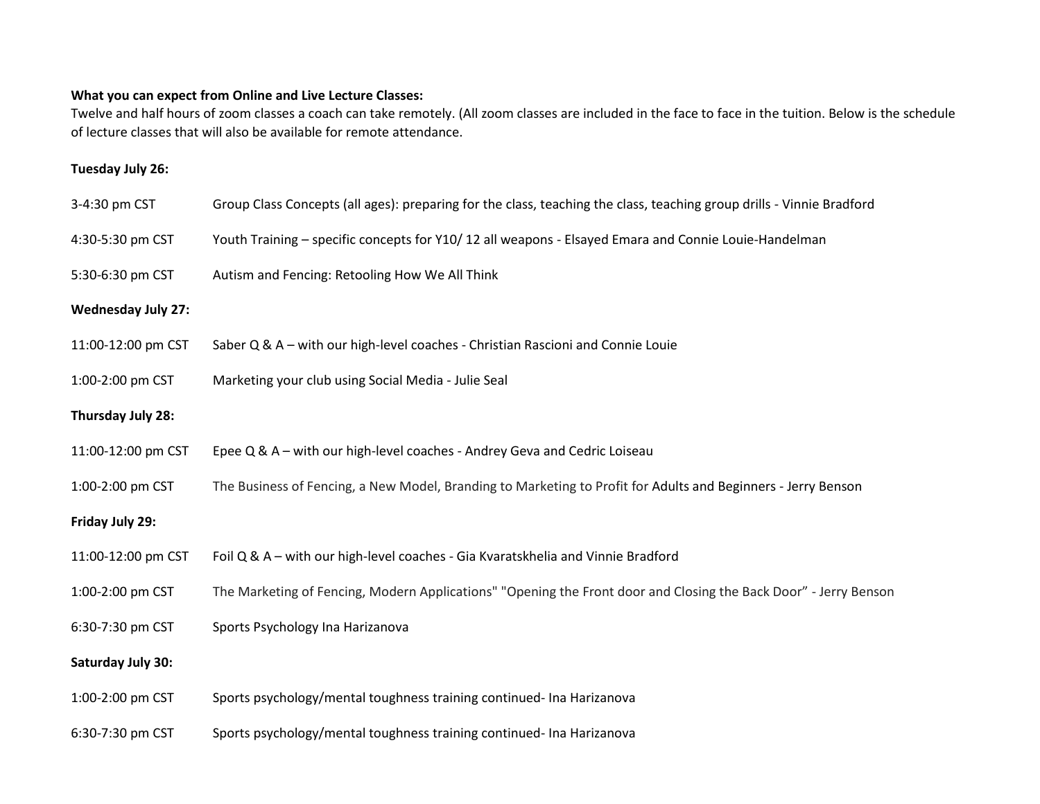## **What you can expect from Online and Live Lecture Classes:**

Twelve and half hours of zoom classes a coach can take remotely. (All zoom classes are included in the face to face in the tuition. Below is the schedule of lecture classes that will also be available for remote attendance.

## **Tuesday July 26:**

| 3-4:30 pm CST             | Group Class Concepts (all ages): preparing for the class, teaching the class, teaching group drills - Vinnie Bradford |
|---------------------------|-----------------------------------------------------------------------------------------------------------------------|
| 4:30-5:30 pm CST          | Youth Training - specific concepts for Y10/12 all weapons - Elsayed Emara and Connie Louie-Handelman                  |
| 5:30-6:30 pm CST          | Autism and Fencing: Retooling How We All Think                                                                        |
| <b>Wednesday July 27:</b> |                                                                                                                       |
| 11:00-12:00 pm CST        | Saber Q & A - with our high-level coaches - Christian Rascioni and Connie Louie                                       |
| 1:00-2:00 pm CST          | Marketing your club using Social Media - Julie Seal                                                                   |
| Thursday July 28:         |                                                                                                                       |
| 11:00-12:00 pm CST        | Epee Q & A - with our high-level coaches - Andrey Geva and Cedric Loiseau                                             |
| 1:00-2:00 pm CST          | The Business of Fencing, a New Model, Branding to Marketing to Profit for Adults and Beginners - Jerry Benson         |
| Friday July 29:           |                                                                                                                       |
| 11:00-12:00 pm CST        | Foil Q & A - with our high-level coaches - Gia Kvaratskhelia and Vinnie Bradford                                      |
| 1:00-2:00 pm CST          | The Marketing of Fencing, Modern Applications" "Opening the Front door and Closing the Back Door" - Jerry Benson      |
| 6:30-7:30 pm CST          | Sports Psychology Ina Harizanova                                                                                      |
| Saturday July 30:         |                                                                                                                       |
| 1:00-2:00 pm CST          | Sports psychology/mental toughness training continued- Ina Harizanova                                                 |
| 6:30-7:30 pm CST          | Sports psychology/mental toughness training continued- Ina Harizanova                                                 |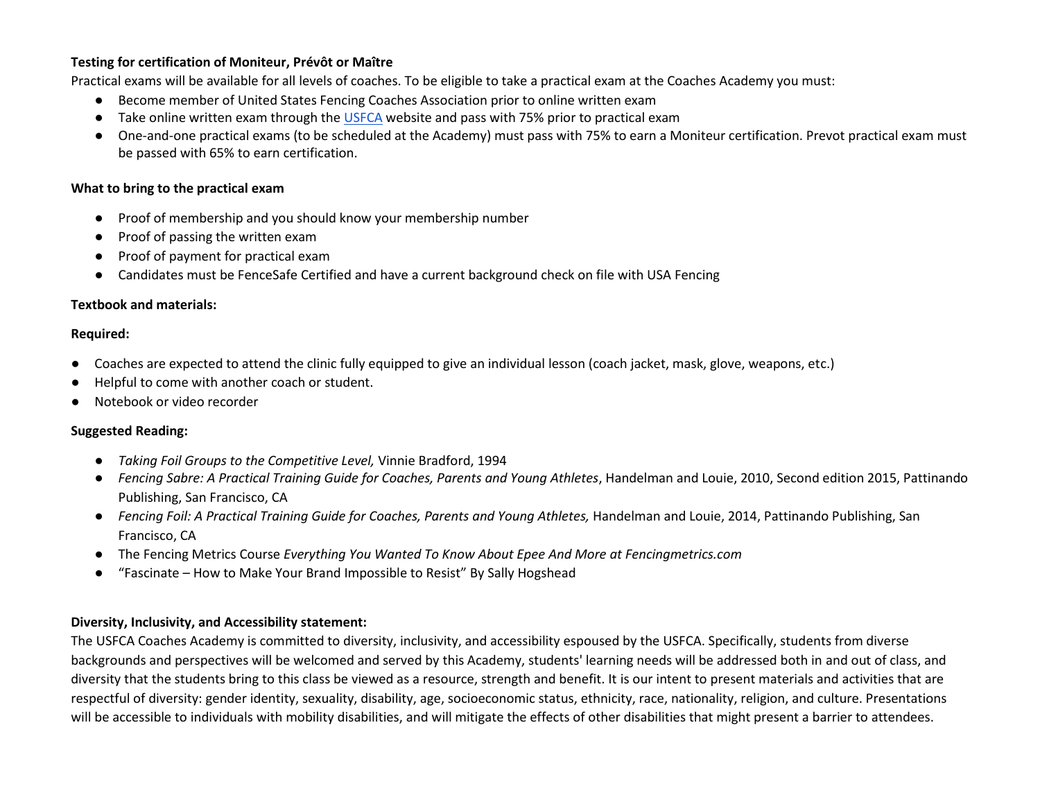### **Testing for certification of Moniteur, Prévôt or Maître**

Practical exams will be available for all levels of coaches. To be eligible to take a practical exam at the Coaches Academy you must:

- Become member of United States Fencing Coaches Association prior to online written exam
- Take online written exam through the [USFCA](https://usfca.org/) website and pass with 75% prior to practical exam
- One-and-one practical exams (to be scheduled at the Academy) must pass with 75% to earn a Moniteur certification. Prevot practical exam must be passed with 65% to earn certification.

#### **What to bring to the practical exam**

- Proof of membership and you should know your membership number
- Proof of passing the written exam
- Proof of payment for practical exam
- Candidates must be FenceSafe Certified and have a current background check on file with USA Fencing

#### **Textbook and materials:**

#### **Required:**

- Coaches are expected to attend the clinic fully equipped to give an individual lesson (coach jacket, mask, glove, weapons, etc.)
- Helpful to come with another coach or student.
- Notebook or video recorder

#### **Suggested Reading:**

- *Taking Foil Groups to the Competitive Level,* Vinnie Bradford, 1994
- *Fencing Sabre: A Practical Training Guide for Coaches, Parents and Young Athletes*, Handelman and Louie, 2010, Second edition 2015, Pattinando Publishing, San Francisco, CA
- *Fencing Foil: A Practical Training Guide for Coaches, Parents and Young Athletes,* Handelman and Louie, 2014, Pattinando Publishing, San Francisco, CA
- The Fencing Metrics Course *Everything You Wanted To Know About Epee And More at Fencingmetrics.com*
- "Fascinate How to Make Your Brand Impossible to Resist" By Sally Hogshead

#### **Diversity, Inclusivity, and Accessibility statement:**

The USFCA Coaches Academy is committed to diversity, inclusivity, and accessibility espoused by the USFCA. Specifically, students from diverse backgrounds and perspectives will be welcomed and served by this Academy, students' learning needs will be addressed both in and out of class, and diversity that the students bring to this class be viewed as a resource, strength and benefit. It is our intent to present materials and activities that are respectful of diversity: gender identity, sexuality, disability, age, socioeconomic status, ethnicity, race, nationality, religion, and culture. Presentations will be accessible to individuals with mobility disabilities, and will mitigate the effects of other disabilities that might present a barrier to attendees.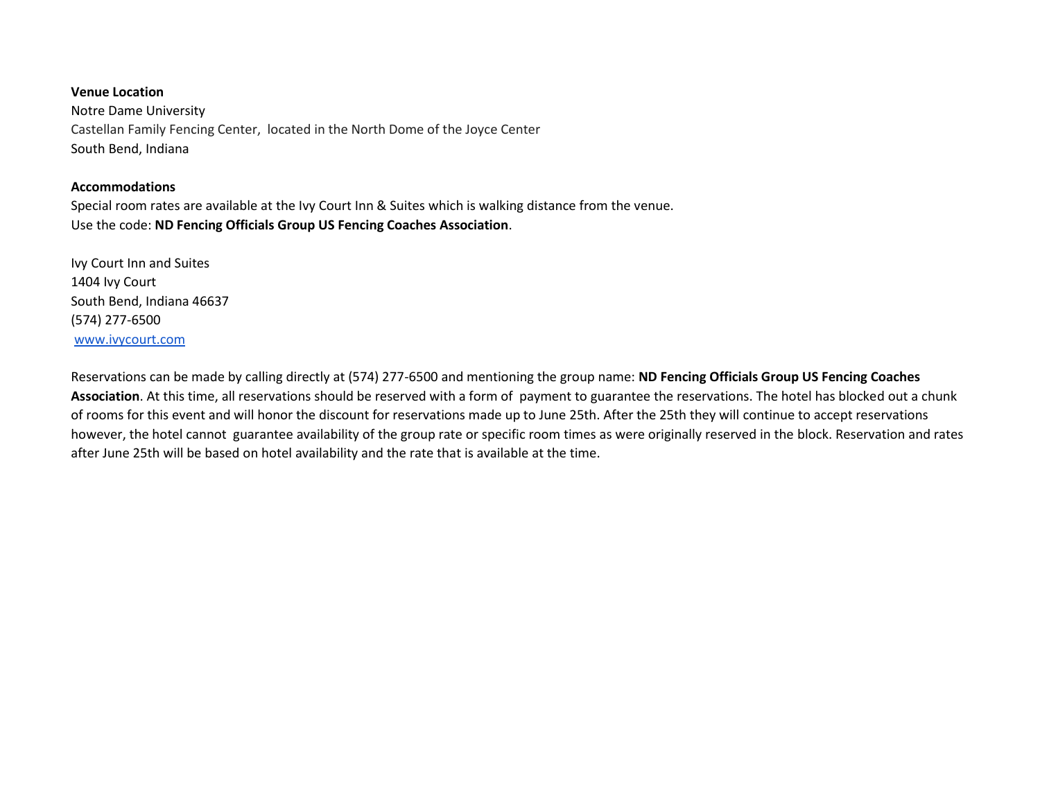# **Venue Location** Notre Dame University Castellan Family Fencing Center, located in the North Dome of the Joyce Center South Bend, Indiana

#### **Accommodations**

Special room rates are available at the Ivy Court Inn & Suites which is walking distance from the venue. Use the code: **ND Fencing Officials Group US Fencing Coaches Association**.

Ivy Court Inn and Suites 1404 Ivy Court South Bend, Indiana 46637 (574) 277-6500 [www.ivycourt.com](http://www.ivycourt.com/)

Reservations can be made by calling directly at (574) 277-6500 and mentioning the group name: **ND Fencing Officials Group US Fencing Coaches Association**. At this time, all reservations should be reserved with a form of payment to guarantee the reservations. The hotel has blocked out a chunk of rooms for this event and will honor the discount for reservations made up to June 25th. After the 25th they will continue to accept reservations however, the hotel cannot guarantee availability of the group rate or specific room times as were originally reserved in the block. Reservation and rates after June 25th will be based on hotel availability and the rate that is available at the time.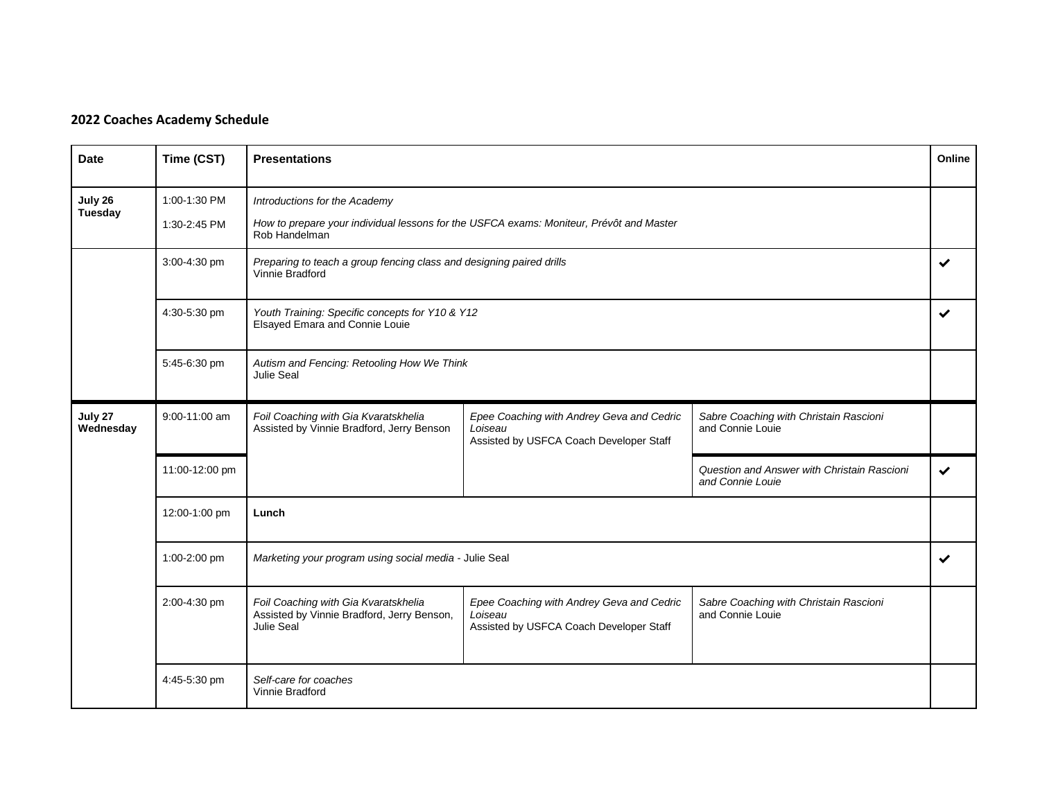# **2022 Coaches Academy Schedule**

| <b>Date</b>               | Time (CST)                   | Online<br><b>Presentations</b>                                                                                                            |                                                                                                 |                                                                 |   |
|---------------------------|------------------------------|-------------------------------------------------------------------------------------------------------------------------------------------|-------------------------------------------------------------------------------------------------|-----------------------------------------------------------------|---|
| July 26<br><b>Tuesday</b> | 1:00-1:30 PM<br>1:30-2:45 PM | Introductions for the Academy<br>How to prepare your individual lessons for the USFCA exams: Moniteur, Prévôt and Master<br>Rob Handelman |                                                                                                 |                                                                 |   |
|                           | 3:00-4:30 pm                 | Preparing to teach a group fencing class and designing paired drills<br>$\checkmark$<br>Vinnie Bradford                                   |                                                                                                 |                                                                 |   |
|                           | 4:30-5:30 pm                 | Youth Training: Specific concepts for Y10 & Y12<br>Elsayed Emara and Connie Louie                                                         |                                                                                                 |                                                                 |   |
|                           | 5:45-6:30 pm                 | Autism and Fencing: Retooling How We Think<br>Julie Seal                                                                                  |                                                                                                 |                                                                 |   |
| July 27<br>Wednesday      | 9:00-11:00 am                | Foil Coaching with Gia Kvaratskhelia<br>Assisted by Vinnie Bradford, Jerry Benson                                                         | Epee Coaching with Andrey Geva and Cedric<br>Loiseau<br>Assisted by USFCA Coach Developer Staff | Sabre Coaching with Christain Rascioni<br>and Connie Louie      |   |
|                           | 11:00-12:00 pm               |                                                                                                                                           |                                                                                                 | Question and Answer with Christain Rascioni<br>and Connie Louie | ✔ |
|                           | 12:00-1:00 pm                | Lunch                                                                                                                                     |                                                                                                 |                                                                 |   |
|                           | 1:00-2:00 pm                 | Marketing your program using social media - Julie Seal                                                                                    |                                                                                                 |                                                                 | ✔ |
|                           | 2:00-4:30 pm                 | Foil Coaching with Gia Kvaratskhelia<br>Assisted by Vinnie Bradford, Jerry Benson,<br><b>Julie Seal</b>                                   | Epee Coaching with Andrey Geva and Cedric<br>Loiseau<br>Assisted by USFCA Coach Developer Staff | Sabre Coaching with Christain Rascioni<br>and Connie Louie      |   |
|                           | 4:45-5:30 pm                 | Self-care for coaches<br>Vinnie Bradford                                                                                                  |                                                                                                 |                                                                 |   |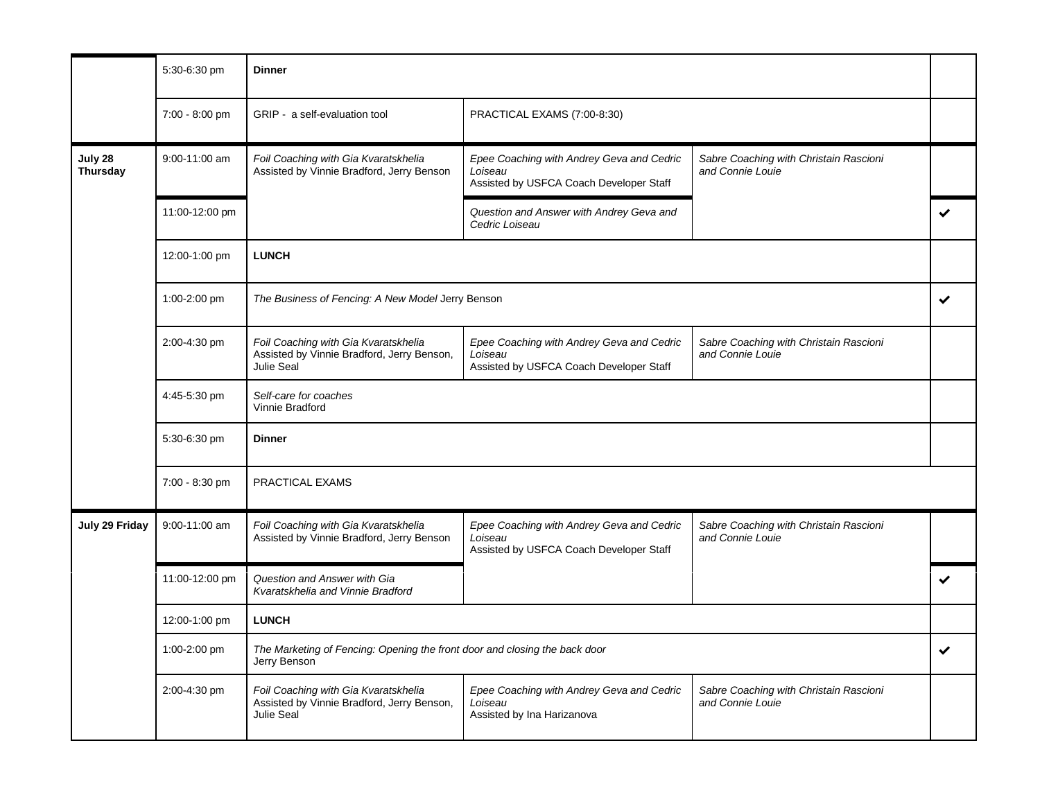|                            | 5:30-6:30 pm   | <b>Dinner</b>                                                                                           |                                                                                                 |                                                            |   |
|----------------------------|----------------|---------------------------------------------------------------------------------------------------------|-------------------------------------------------------------------------------------------------|------------------------------------------------------------|---|
|                            | 7:00 - 8:00 pm | GRIP - a self-evaluation tool                                                                           | PRACTICAL EXAMS (7:00-8:30)                                                                     |                                                            |   |
| July 28<br><b>Thursday</b> | 9:00-11:00 am  | Foil Coaching with Gia Kvaratskhelia<br>Assisted by Vinnie Bradford, Jerry Benson                       | Epee Coaching with Andrey Geva and Cedric<br>Loiseau<br>Assisted by USFCA Coach Developer Staff | Sabre Coaching with Christain Rascioni<br>and Connie Louie |   |
|                            | 11:00-12:00 pm |                                                                                                         | Question and Answer with Andrey Geva and<br>Cedric Loiseau                                      |                                                            |   |
|                            | 12:00-1:00 pm  | <b>LUNCH</b>                                                                                            |                                                                                                 |                                                            |   |
|                            | 1:00-2:00 pm   | The Business of Fencing: A New Model Jerry Benson                                                       |                                                                                                 |                                                            | ✔ |
|                            | 2:00-4:30 pm   | Foil Coaching with Gia Kvaratskhelia<br>Assisted by Vinnie Bradford, Jerry Benson,<br><b>Julie Seal</b> | Epee Coaching with Andrey Geva and Cedric<br>Loiseau<br>Assisted by USFCA Coach Developer Staff | Sabre Coaching with Christain Rascioni<br>and Connie Louie |   |
|                            | 4:45-5:30 pm   | Self-care for coaches<br>Vinnie Bradford                                                                |                                                                                                 |                                                            |   |
|                            | 5:30-6:30 pm   | <b>Dinner</b>                                                                                           |                                                                                                 |                                                            |   |
|                            | 7:00 - 8:30 pm | PRACTICAL EXAMS                                                                                         |                                                                                                 |                                                            |   |
| July 29 Friday             | 9:00-11:00 am  | Foil Coaching with Gia Kvaratskhelia<br>Assisted by Vinnie Bradford, Jerry Benson                       | Epee Coaching with Andrey Geva and Cedric<br>Loiseau<br>Assisted by USFCA Coach Developer Staff | Sabre Coaching with Christain Rascioni<br>and Connie Louie |   |
|                            | 11:00-12:00 pm | Question and Answer with Gia<br>Kvaratskhelia and Vinnie Bradford                                       |                                                                                                 |                                                            |   |
|                            | 12:00-1:00 pm  | <b>LUNCH</b>                                                                                            |                                                                                                 |                                                            |   |
|                            | 1:00-2:00 pm   | The Marketing of Fencing: Opening the front door and closing the back door<br>Jerry Benson              |                                                                                                 |                                                            | ✔ |
|                            | 2:00-4:30 pm   | Foil Coaching with Gia Kvaratskhelia<br>Assisted by Vinnie Bradford, Jerry Benson,<br>Julie Seal        | Epee Coaching with Andrey Geva and Cedric<br>Loiseau<br>Assisted by Ina Harizanova              | Sabre Coaching with Christain Rascioni<br>and Connie Louie |   |